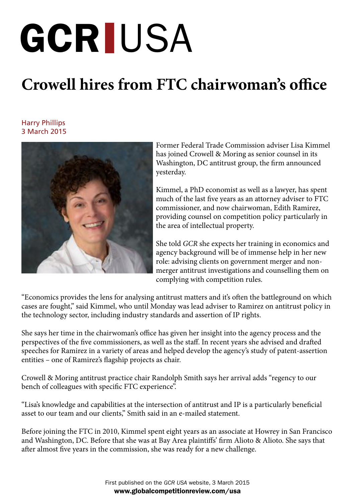## GCR IUSA

## **Crowell hires from FTC chairwoman's office**

## Harry Phillips<br>The March 2015<br>Book 2015 Harry Phillips 3 March 2015



Former Federal Trade Commission adviser Lisa Kimmel has joined Crowell & Moring as senior counsel in its Washington, DC antitrust group, the firm announced yesterday.

Kimmel, a PhD economist as well as a lawyer, has spent much of the last five years as an attorney adviser to FTC commissioner, and now chairwoman, Edith Ramirez, providing counsel on competition policy particularly in the area of intellectual property.

She told *GCR* she expects her training in economics and agency background will be of immense help in her new role: advising clients on government merger and nonmerger antitrust investigations and counselling them on complying with competition rules.

"Economics provides the lens for analysing antitrust matters and it's often the battleground on which cases are fought," said Kimmel, who until Monday was lead adviser to Ramirez on antitrust policy in the technology sector, including industry standards and assertion of IP rights.

She says her time in the chairwoman's office has given her insight into the agency process and the perspectives of the five commissioners, as well as the staff. In recent years she advised and drafted speeches for Ramirez in a variety of areas and helped develop the agency's study of patent-assertion entities – one of Ramirez's flagship projects as chair.

Crowell & Moring antitrust practice chair Randolph Smith says her arrival adds "regency to our bench of colleagues with specific FTC experience".

"Lisa's knowledge and capabilities at the intersection of antitrust and IP is a particularly beneficial asset to our team and our clients," Smith said in an e-mailed statement.

Before joining the FTC in 2010, Kimmel spent eight years as an associate at Howrey in San Francisco and Washington, DC. Before that she was at Bay Area plaintiffs' firm Alioto & Alioto. She says that after almost five years in the commission, she was ready for a new challenge.